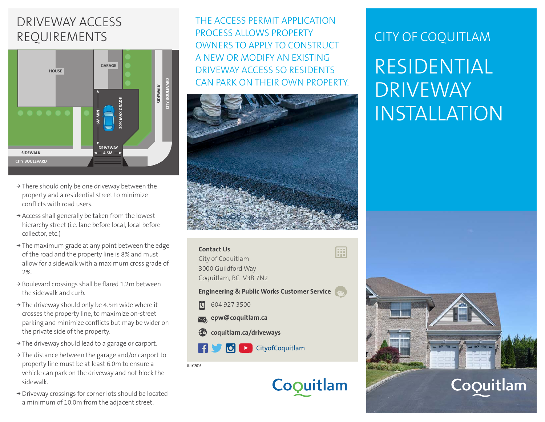# DRIVEWAY ACCESS REQUIREMENTS



- **<sup>&</sup>gt;** There should only be one driveway between the property and a residential street to minimize conflicts with road users.
- **<sup>&</sup>gt;** Access shall generally be taken from the lowest hierarchy street (i.e. lane before local, local before collector, etc.)
- → The maximum grade at any point between the edge **Conta** of the road and the property line is 8% and must allow for a sidewalk with a maximum cross grade of 2%.
- **<sup>&</sup>gt;** Boulevard crossings shall be flared 1.2m between the sidewalk and curb.
- **<sup>&</sup>gt;** The driveway should only be 4.5m wide where it crosses the property line, to maximize on-street parking and minimize conflicts but may be wider on the private side of the property.
- **<sup>&</sup>gt;** The driveway should lead to a garage or carport.
- **<sup>&</sup>gt;** The distance between the garage and/or carport to property line must be at least 6.0m to ensure a vehicle can park on the driveway and not block the sidewalk.
- **<sup>&</sup>gt;** Driveway crossings for corner lots should be located a minimum of 10.0m from the adjacent street.

THE ACCESS PERMIT APPLICATION PROCESS ALLOWS PROPERTY OWNERS TO APPLY TO CONSTRUCT A NEW OR MODIFY AN EXISTING DRIVEWAY ACCESS SO RESIDENTS CAN PARK ON THEIR OWN PROPERTY.



| <b>Contact Us</b><br>City of Coquitlam<br>3000 Guildford Way<br>Coquitlam, BC V3B 7N2 |  |
|---------------------------------------------------------------------------------------|--|
| <b>Engineering &amp; Public Works Customer Service</b>                                |  |
| 604 927 3500<br><u>।</u>                                                              |  |
| sepw@coquitlam.ca                                                                     |  |
| coquitlam.ca/driveways                                                                |  |
| f <b>J O E</b> CityofCoquitlam                                                        |  |
| <b>JULY 2016</b>                                                                      |  |
| Coouitlam                                                                             |  |

# CITY OF COQUITLAM

# RESIDENTIAL DRIVEWAY INSTALLATION